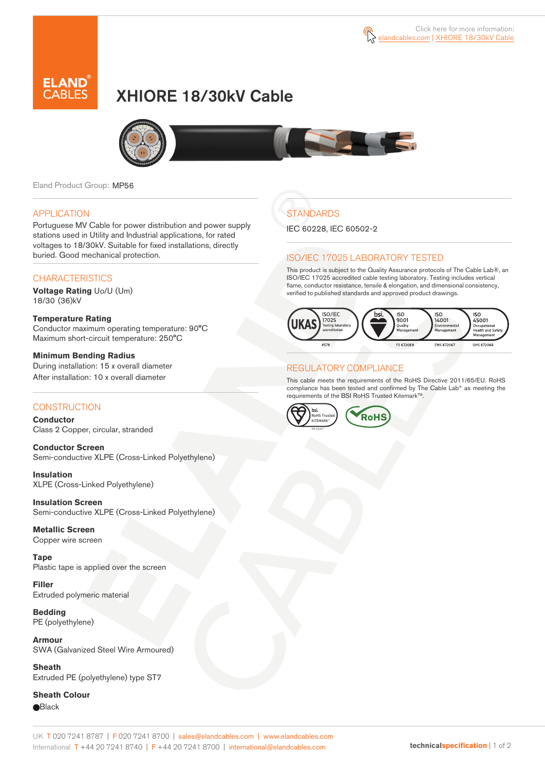

# XHIORE 18/30kV Cable



Eland Product Group: MP56

### APPLICATION

Portuguese MV Cable for power distribution and power supply stations used in Utility and Industrial applications, for rated voltages to 18/30kV. Suitable for fixed installations, directly buried. Good mechanical protection.

### **CHARACTERISTICS**

**Voltage Rating** Uo/U (Um) 18/30 (36)kV

#### **Temperature Rating**  Conductor maximum operating temperature: 90°C Maximum short-circuit temperature: 250°C

**Minimum Bending Radius**  During installation: 15 x overall diameter After installation: 10 x overall diameter

### **CONSTRUCTION**

**Conductor**  Class 2 Copper, circular, stranded

**Conductor Screen** Semi-conductive XLPE (Cross-Linked Polyethylene)

**Insulation** XLPE (Cross-Linked Polyethylene)

**Insulation Screen** Semi-conductive XLPE (Cross-Linked Polyethylene)

**Metallic Screen**  Copper wire screen

**Tape**  Plastic tape is applied over the screen

**Filler** Extruded polymeric material

**Bedding** PE (polyethylene)

**Armour** SWA (Galvanized Steel Wire Armoured)

**Sheath** Extruded PE (polyethylene) type ST7

**Sheath Colour Black** 

## **STANDARDS**

IEC 60228, IEC 60502-2

### ISO/IEC 17025 LABORATORY TESTED

This product is subject to the Quality Assurance protocols of The Cable Lab®, an ISO/IEC 17025 accredited cable testing laboratory. Testing includes vertical flame, conductor resistance, tensile & elongation, and dimensional consistency, verified to published standards and approved product drawings.



### REGULATORY COMPLIANCE

This cable meets the requirements of the RoHS Directive 2011/65/EU. RoHS compliance has been tested and confirmed by The Cable Lab® as meeting the requirements of the BSI RoHS Trusted Kitemark™.